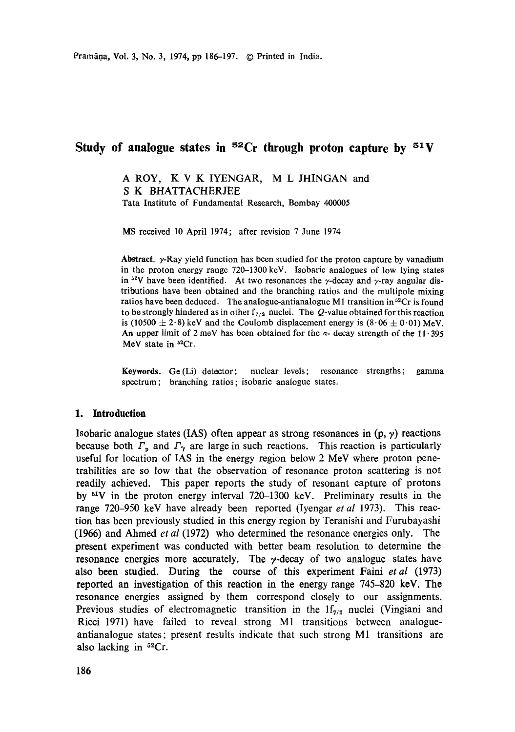# Study of analogue states in  ${}^{52}Cr$  through proton capture by  ${}^{51}V$

A ROY, K V K IYENGAR, M L JHINGAN and S K BHATTACHERJEE Tata Institute of Fundamental Research, Bombay 400005

MS received 10 April 1974; after revision 7 June 1974

**Abstract.** y-Ray yield function has been studied for the proton capture by vanadium in the proton energy range 720-1300 keV. Isobaric analogues of low lying states in <sup>52</sup>V have been identified. At two resonances the  $\gamma$ -decay and  $\gamma$ -ray angular distributions have been obtained and the branching ratios and the multipole mixing ratios have been deduced. The analogue-antianalogue M1 transition in  $52Cr$  is found to be strongly hindered as in other  $f_{7/2}$  nuclei. The Q-value obtained for this reaction is (10500  $\pm$  2.8) keV and the Coulomb displacement energy is (8.06  $\pm$  0.01) MeV. An upper limit of 2 meV has been obtained for the  $\alpha$ - decay strength of the 11.395 MeV state in <sup>52</sup>Cr.

**Keywords.** Ge (Li) detector; nuclear levels; resonance strengths; gamma spectrum; branching ratios; isobaric analogue states.

### **1. Introduction**

Isobaric analogue states (IAS) often appear as strong resonances in  $(p, \gamma)$  reactions because both  $\Gamma_p$  and  $\Gamma_\gamma$  are large in such reactions. This reaction is particularly useful for location of IAS in the energy region below 2 MeV where proton penetrabilities are so low that the observation of resonance proton scattering is not readily achieved. This paper reports the study of resonant capture of protons by 51V in the proton energy interval 720-1300 keV. Preliminary results in the range 720-950 keV have already been reported (Iyengar *et al* 1973). This reaction has been previously studied in this energy region by Teranishi and Furubayashi (1966) and Ahmed *et al* (1972) who determined the resonance energies only. The present experiment was conducted with better beam resolution to determine the resonance energies more accurately. The  $\gamma$ -decay of two analogue states have also been studied. During the course of this experiment Faini *et al* (1973) reported an investigation of this reaction in the energy range 745-820 keV. The resonance energies assigned by them correspond closely to our assignments. Previous studies of electromagnetic transition in the  $1f_{7/2}$  nuclei (Vingiani and Ricci 1971) have failed to reveal strong M1 transitions between analogueantianalogue states; present results indicate that such strong M1 transitions are also lacking in  $52Cr$ .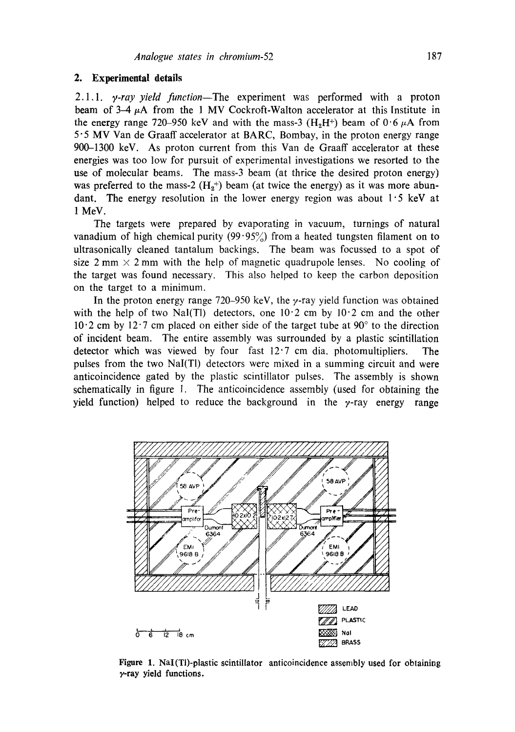### **2. Experimental details**

2.1.1. *y-ray yield function--The* experiment was performed with a proton beam of  $3-4 \mu$ A from the 1 MV Cockroft-Walton accelerator at this Institute in the energy range 720–950 keV and with the mass-3  $(H_0H^+)$  beam of 0.6  $\mu$ A from 5" 5 MV Van de Graaff accelerator at BARC, Bombay, in the proton energy range 900-1300 keV. As proton current from this Van de Graaff accelerator at these energies was too low for pursuit of experimental investigations we resorted to the use of molecular beams. The mass-3 beam (at thrice the desired proton energy) was preferred to the mass-2  $(H_2^+)$  beam (at twice the energy) as it was more abundant. The energy resolution in the lower energy region was about  $1.5$  keV at 1 MeV.

The targets were prepared by evaporating in vacuum, turnings of natural vanadium of high chemical purity  $(99.95\%)$  from a heated tungsten filament on to ultrasonically cleaned tantalum backings. The beam was focussed to a spot of size 2 mm  $\times$  2 mm with the help of magnetic quadrupole lenses. No cooling of the target was found necessary. This also helped to keep the carbon deposition on the target to a minimum.

In the proton energy range 720–950 keV, the  $\gamma$ -ray yield function was obtained with the help of two Nal(Tl) detectors, one  $10.2$  cm by  $10.2$  cm and the other  $10<sup>0</sup>$  2 cm by 12 $\cdot$ 7 cm placed on either side of the target tube at 90 $\degree$  to the direction of incident beam. The entire assembly was surrounded by a plastic scintillation detector which was viewed by four fast 12"7 cm dia. photomultipliers. The pulses from the two NaI(T1) detectors were mixed in a summing circuit and were anticoincidence gated by the plastic scintillator pulses. The assembly is shown schematically in figure 1. The anticoincidence assembly (used for obtaining the yield function) helped to reduce the background in the  $\gamma$ -ray energy range



Figure 1. NaI(Tl)-plastic scintillator anticoincidence assembly used for obtaining  $\gamma$ -ray yield functions.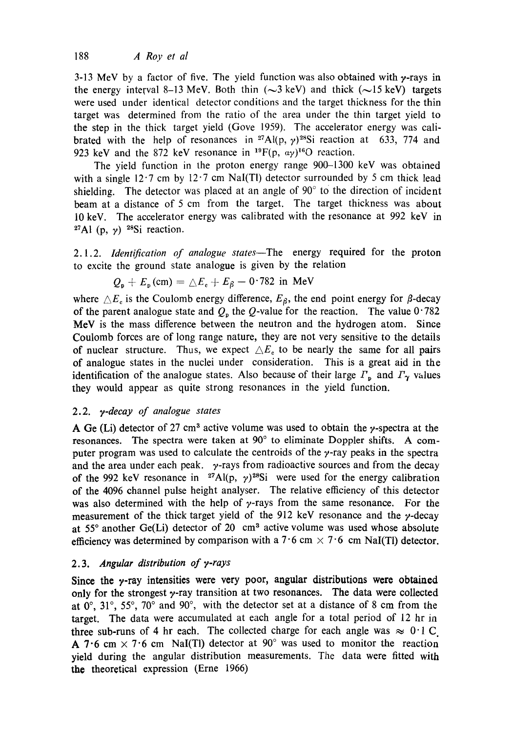3-13 MeV by a factor of five. The yield function was also obtained with  $\gamma$ -rays in the energy interval 8–13 MeV. Both thin  $(\sim 3 \text{ keV})$  and thick  $(\sim 15 \text{ keV})$  targets were used under identical detector conditions and the target thickness for the thin target was determined from the ratio of the area under the thin target yield to the step in the thick target yield (Gove 1959). The accelerator energy was calibrated with the help of resonances in <sup>27</sup>Al(p,  $\gamma$ )<sup>28</sup>Si reaction at 633, 774 and 923 keV and the 872 keV resonance in  $^{19}F(p, \alpha y)^{16}O$  reaction.

The yield function in the proton energy range 900-1300 keV was obtained with a single  $12.7$  cm by  $12.7$  cm NaI(Tl) detector surrounded by 5 cm thick lead shielding. The detector was placed at an angle of  $90^\circ$  to the direction of incident beam at a distance of 5 cm from the target. The target thickness was about 10 keV. The accelerator energy was calibrated with the resonance at 992 keV in <sup>27</sup>Al (p,  $\gamma$ ) <sup>28</sup>Si reaction.

2.1.2. *Identification of analogue states--The* energy required for the proton to excite the ground state analogue is given by the relation

$$
Q_{\rm o} + E_{\rm p} \, \text{(cm)} = \Delta E_{\rm e} + E_{\beta} - 0.782 \, \text{ in MeV}
$$

where  $\triangle E_c$  is the Coulomb energy difference,  $E_\beta$ , the end point energy for  $\beta$ -decay of the parent analogue state and  $Q_p$  the  $Q$ -value for the reaction. The value 0.782 MeV is the mass difference between the neutron and the hydrogen atom. Since Coulomb forces are of long range nature, they are not very sensitive to the details of nuclear structure. Thus, we expect  $\Delta E_e$  to be nearly the same for all pairs of analogue states in the nuclei under consideration. This is a great aid in the identification of the analogue states. Also because of their large  $\Gamma_p$  and  $\Gamma_\gamma$  values they would appear as quite strong resonances in the yield function.

# 2.2. *y*-decay of analogue states

A Ge (Li) detector of 27 cm<sup>3</sup> active volume was used to obtain the  $\gamma$ -spectra at the resonances. The spectra were taken at 90 ° to eliminate Doppler shifts. A computer program was used to calculate the centroids of the  $\gamma$ -ray peaks in the spectra and the area under each peak.  $y$ -rays from radioactive sources and from the decay of the 992 keV resonance in <sup>27</sup>Al(p,  $\gamma$ )<sup>28</sup>Si were used for the energy calibration of the 4096 channel pulse height analyser. The relative efficiency of this detector was also determined with the help of  $\gamma$ -rays from the same resonance. For the measurement of the thick target yield of the 912 keV resonance and the  $\gamma$ -decay at 55 $^{\circ}$  another Ge(Li) detector of 20 cm<sup>3</sup> active volume was used whose absolute efficiency was determined by comparison with a 7.6 cm  $\times$  7.6 cm NaI(TI) detector.

# 2.3. Angular distribution of y-rays

Since the  $\nu$ -ray intensities were very poor, angular distributions were obtained only for the strongest  $\gamma$ -ray transition at two resonances. The data were collected at  $0^\circ$ ,  $31^\circ$ ,  $55^\circ$ ,  $70^\circ$  and  $90^\circ$ , with the detector set at a distance of 8 cm from the target. The data were accumulated at each angle for a total period of 12 hr in three sub-runs of 4 hr each. The collected charge for each angle was  $\approx 0.1 \text{ C}$ . A 7.6 cm  $\times$  7.6 cm NaI(TI) detector at 90° was used to monitor the reaction yield during the angular distribution measurements. The data were fitted with the theoretical expression (Erne 1966)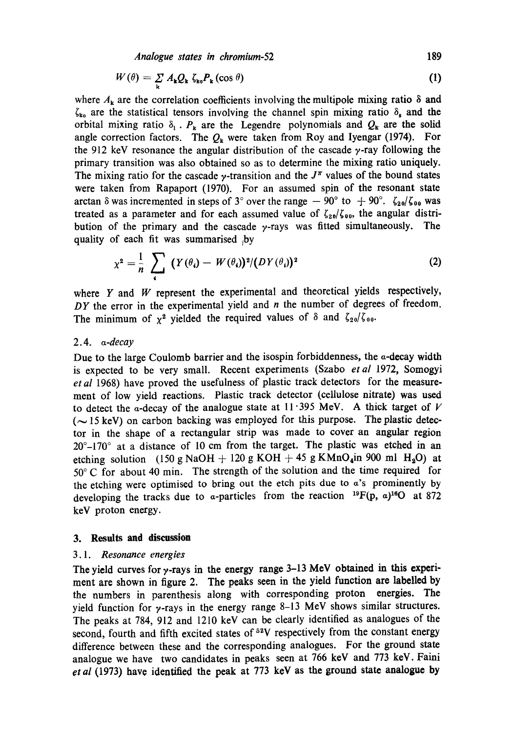*Analogue states in chromium-52* 189

$$
W(\theta) = \sum_{\mathbf{k}} A_{\mathbf{k}} Q_{\mathbf{k}} \zeta_{\mathbf{k}\mathbf{o}} P_{\mathbf{k}} (\cos \theta) \tag{1}
$$

where  $A_k$  are the correlation coefficients involving the multipole mixing ratio  $\delta$  and  $\zeta_{k_0}$  are the statistical tensors involving the channel spin mixing ratio  $\delta_s$  and the orbital mixing ratio  $\delta_1$ .  $P_k$  are the Legendre polynomials and  $Q_k$  are the solid angle correction factors. The  $Q_k$  were taken from Roy and Iyengar (1974). For the 912 keV resonance the angular distribution of the cascade  $\gamma$ -ray following the primary transition was also obtained so as to determine the mixing ratio uniquely. The mixing ratio for the cascade  $\gamma$ -transition and the  $J^{\pi}$  values of the bound states were taken from Rapaport (1970). For an assumed spin of the resonant state arctan  $\delta$  was incremented in steps of 3° over the range  $-90^\circ$  to  $+90^\circ$ .  $\zeta_{20}/\zeta_{00}$  was treated as a parameter and for each assumed value of  $\zeta_{20}/\zeta_{00}$ , the angular distribution of the primary and the cascade  $\gamma$ -rays was fitted simultaneously. The quality of each fit was summarised by

$$
\chi^2 = \frac{1}{n} \sum_{i} (Y(\theta_i) - W(\theta_i))^2 / (DY(\theta_i))^2 \tag{2}
$$

where  $Y$  and  $W$  represent the experimental and theoretical yields respectively, *DY* the error in the experimental yield and *n* the number of degrees of freedom. The minimum of  $\chi^2$  yielded the required values of  $\delta$  and  $\zeta_{20}/\zeta_{00}$ .

### *2.4. a-decay*

Due to the large Coulomb barrier and the isospin forbiddenness, the  $\alpha$ -decay width is expected to be very small. Recent experiments (Szabo *etal* 1972, Somogyi *et al* 1968) have proved the usefulness of plastic track detectors for the measurement of low yield reactions. Plastic track detector (cellulose nitrate) was used to detect the a-decay of the analogue state at  $11 \cdot 395$  MeV. A thick target of V  $({\sim} 15 \text{ keV})$  on carbon backing was employed for this purpose. The plastic detector in the shape of a rectangular strip was made to cover an angular region  $20^{\circ}$ -170 $^{\circ}$  at a distance of 10 cm from the target. The plastic was etched in an etching solution (150 g NaOH + 120 g KOH + 45 g KMnO<sub>4</sub>in 900 ml H<sub>2</sub>O) at  $50^{\circ}$  C for about 40 min. The strength of the solution and the time required for the etching were optimised to bring out the etch pits due to  $a$ 's prominently by developing the tracks due to a-particles from the reaction  $^{19}F(p, a)^{16}O$  at 872 keV proton energy.

### **3. Results and discussion**

### *3.1. Resonance energies*

The yield curves for  $\gamma$ -rays in the energy range 3-13 MeV obtained in this experiment are shown in figure 2. The peaks seen in the yield function are labelled by the numbers in parenthesis along with corresponding proton energies. The yield function for  $\gamma$ -rays in the energy range 8-13 MeV shows similar structures. The peaks at 784, 912 and 1210 keV can be clearly identified as analogues of the second, fourth and fifth excited states of  $52V$  respectively from the constant energy difference between these and the corresponding analogues. For the ground state analogue we have two candidates in peaks seen at 766 keV and 773 keV. Faini *et al* (1973) have identified the peak at 773 keV as the ground state analogue **by**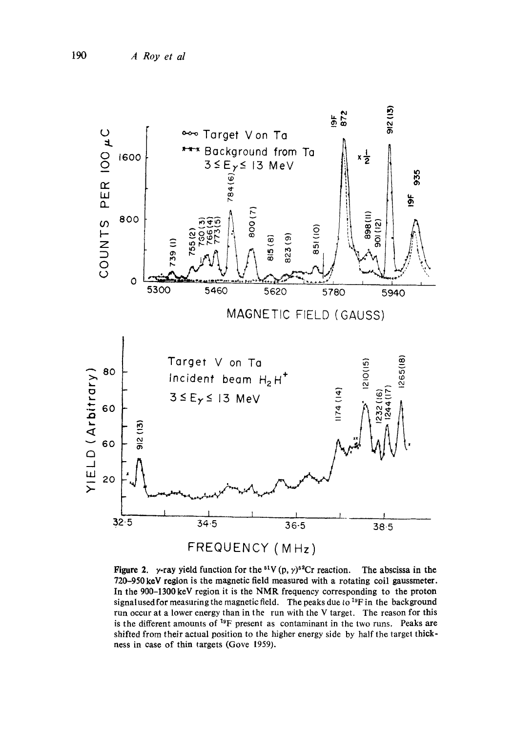

**Figure 2.**  $\gamma$ -ray yield function for the <sup>51</sup>V (p,  $\gamma$ )<sup>52</sup>Cr reaction. The abscissa in the 720-950 keV region is the magnetic field measured with a rotating coil gaussmeter. In the 900-1300 keV region it is the NMR frequency corresponding to the proton signalused for measuring the magnetic field. The peaks due to  $^{19}F$  in the background run occur at a lower energy than in the run with the V target. The reason for this is the different amounts of  $19F$  present as contaminant in the two runs. Peaks are shifted from their actual position to the higher energy side by half the target thickness in case of thin targets (Gore 1959).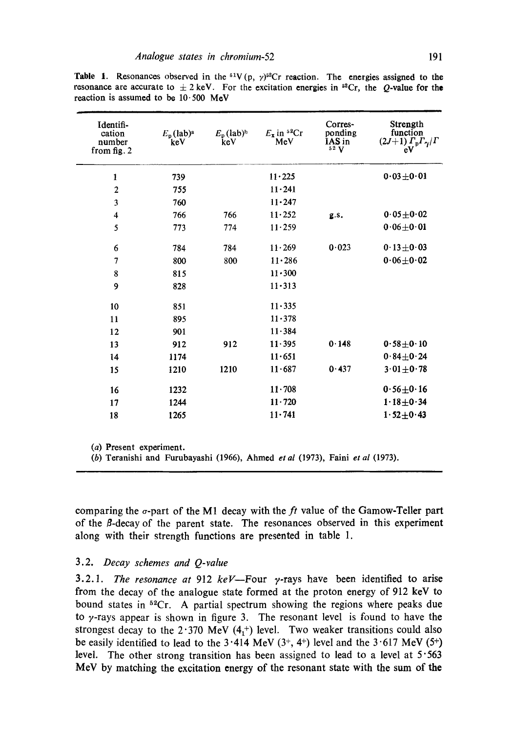| Identifi-<br>cation<br>number<br>from fig. 2 | $E_p$ (lab) <sup>a</sup><br>keV | $E_p$ (lab) <sup>h</sup><br>keV | $E_x$ in <sup>52</sup> Cr<br>MeV | Corres-<br>ponding<br>IAS in<br>52V | Strength<br>function<br>$(2J+1)\Gamma_p\Gamma_\gamma/\Gamma$<br>eV |
|----------------------------------------------|---------------------------------|---------------------------------|----------------------------------|-------------------------------------|--------------------------------------------------------------------|
| 1                                            | 739                             |                                 | $11 - 225$                       |                                     | $0.03 \pm 0.01$                                                    |
| $\overline{2}$                               | 755                             |                                 | $11 \cdot 241$                   |                                     |                                                                    |
| 3                                            | 760                             |                                 | $11 - 247$                       |                                     |                                                                    |
| $\overline{4}$                               | 766                             | 766                             | $11 - 252$                       | g.s.                                | $0.05 + 0.02$                                                      |
| 5                                            | 773                             | 774                             | 11.259                           |                                     | $0.06 + 0.01$                                                      |
| 6                                            | 784                             | 784                             | 11.269                           | 0.023                               | $0.13 \pm 0.03$                                                    |
| 7                                            | 800                             | 800                             | $11 - 286$                       |                                     | $0.06 \pm 0.02$                                                    |
| 8                                            | 815                             |                                 | $11 \cdot 300$                   |                                     |                                                                    |
| 9                                            | 828                             |                                 | $11 - 313$                       |                                     |                                                                    |
| 10                                           | 851                             |                                 | 11.335                           |                                     |                                                                    |
| 11                                           | 895                             |                                 | $11 - 378$                       |                                     |                                                                    |
| 12                                           | 901                             |                                 | 11.384                           |                                     |                                                                    |
| 13                                           | 912                             | 912                             | 11.395                           | 0.148                               | $0.58 + 0.10$                                                      |
| 14                                           | 1174                            |                                 | 11.651                           |                                     | $0.84 \pm 0.24$                                                    |
| 15                                           | 1210                            | 1210                            | 11.687                           | 0.437                               | $3.01 + 0.78$                                                      |
| 16                                           | 1232                            |                                 | $11 \cdot 708$                   |                                     | $0.56 \pm 0.16$                                                    |
| 17                                           | 1244                            |                                 | $11 - 720$                       |                                     | $1.18 + 0.34$                                                      |
| 18                                           | 1265                            |                                 | $11 - 741$                       |                                     | $1.52 \pm 0.43$                                                    |

**Table 1.** Resonances observed in the <sup>51</sup>V(p,  $\gamma$ <sup>52</sup>Cr reaction. The energies assigned to the resonance are accurate to  $\pm 2$  keV. For the excitation energies in <sup>sa</sup>Cr, the Q-value for the reaction is assumed to be  $10.500$  MeV

(a) Present experiment.

(b) Teranishi and Furubayashi (1966), Ahmed *etal* (1973), Faini *et al* (1973).

comparing the o-part of the M1 decay with the *ft* value of the Gamow-Teller part of the B-decay of the parent state. The resonances observed in this experiment along with their strength functions are presented in table 1.

### 3.2. *Decay schemes and Q-value*

3.2.1. *The resonance at* 912  $keV$ -Four  $\gamma$ -rays have been identified to arise from the decay of the analogue state formed at the proton energy of 912 keV to bound states in  $52Cr$ . A partial spectrum showing the regions where peaks due to  $\gamma$ -rays appear is shown in figure 3. The resonant level is found to have the strongest decay to the  $2.370$  MeV (4<sup>+</sup>) level. Two weaker transitions could also be easily identified to lead to the  $3.414 \text{ MeV } (3^+, 4^+)$  level and the  $3.617 \text{ MeV } (5^+)$ level. The other strong transition has been assigned to lead to a level at  $5.563$ MeV by matching the excitation energy of the resonant state with the sum of the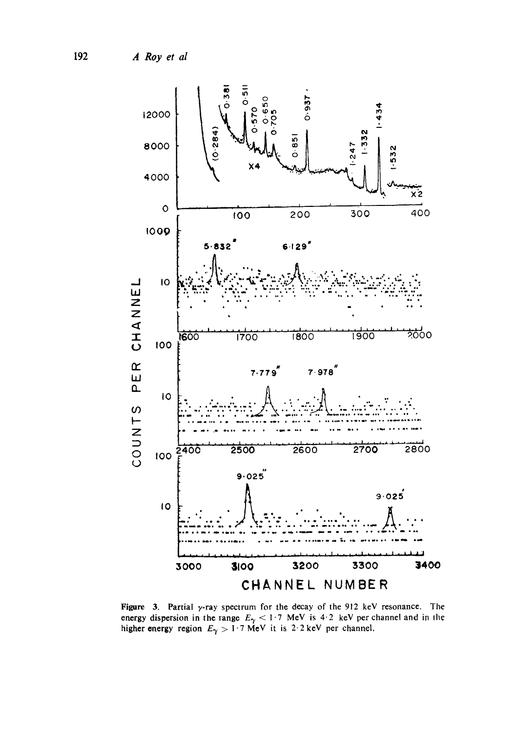A Roy et al



Figure 3. Partial y-ray spectrum for the decay of the 912 keV resonance. The energy dispersion in the range  $E_{\gamma} < 1.7$  MeV is 4.2 keV per channel and in the higher energy region  $E_{\gamma} > 1.7$  MeV it is 2.2 keV per channe

192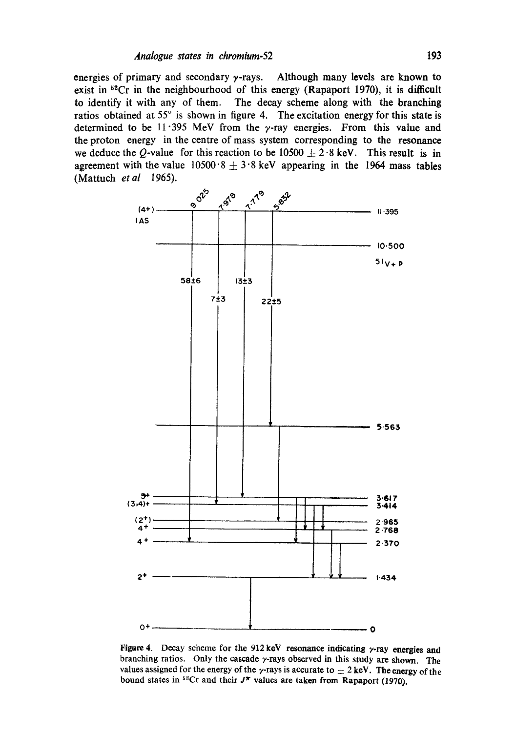energies of primary and secondary  $\gamma$ -rays. Although many levels are known to exist in  $5^{2}$ Cr in the neighbourhood of this energy (Rapaport 1970), it is difficult to identify it with any of them. The decay scheme along with the branching ratios obtained at  $55^{\circ}$  is shown in figure 4. The excitation energy for this state is determined to be  $11.395$  MeV from the y-ray energies. From this value and the proton energy in the centre of mass system corresponding to the resonance we deduce the Q-value for this reaction to be  $10500 \pm 2.8$  keV. This result is in agreement with the value  $10500 \cdot 8 + 3 \cdot 8$  keV appearing in the 1964 mass tables (Mattuch *et al* 1965).



Figure 4. Decay scheme for the 912 keV resonance indicating y-ray energies and branching ratios. Only the cascade  $\gamma$ -rays observed in this study are shown. The values assigned for the energy of the y-rays is accurate to  $\pm 2$  keV. The energy of the bound states in  ${}^{52}Cr$  and their  $J^{\pi}$  values are taken from Rapaport (1970).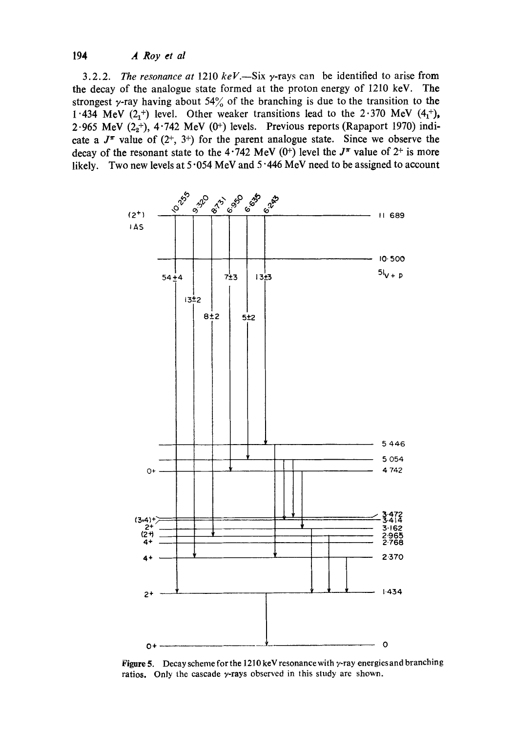**3.2.2.** *The resonance at* **1210** *keV.--Six* **7-rays can be identified to arise from the decay of the analogue state formed at the proton energy of 1210 keV. The**  strongest  $\gamma$ -ray having about 54% of the branching is due to the transition to the 1 **434 MeV**  $(2<sub>1</sub><sup>+</sup>)$  level. Other weaker transitions lead to the  $2.370$  MeV  $(4<sub>1</sub><sup>+</sup>)$ ,  $2.965$  MeV  $(2<sub>2</sub><sup>+</sup>)$ ,  $4.742$  MeV  $(0<sup>+</sup>)$  levels. Previous reports (Rapaport 1970) indicate a  $J^{\pi}$  value of  $(2^{+}, 3^{+})$  for the parent analogue state. Since we observe the decay of the resonant state to the  $4.742$  MeV (0<sup>+</sup>) level the  $J^{\pi}$  value of  $2^{+}$  is more **likely. Two new levels at 5 "054 MeV and 5 "446 MeV need to be assigned to account** 



**Figure 5. Decay scheme for the** 1210 **keV resonance with y-ray energies and branching ratios. Only the cascade y-rays observed in this study are shown.**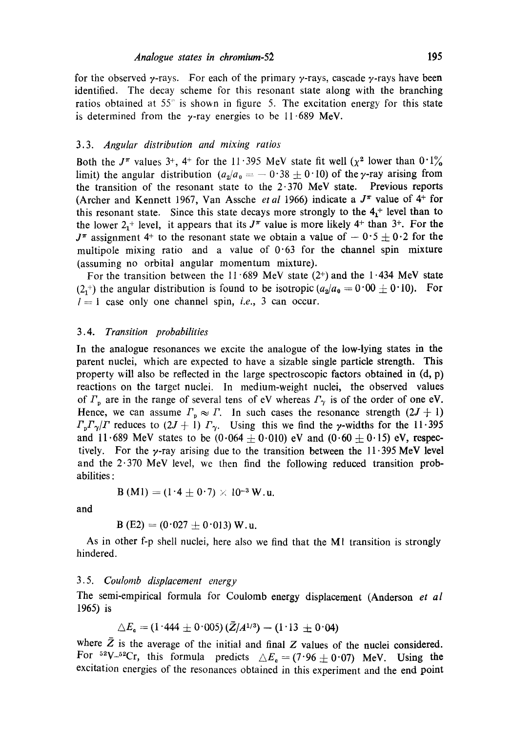for the observed  $\gamma$ -rays. For each of the primary  $\gamma$ -rays, cascade  $\gamma$ -rays have been identified. The decay scheme for this resonant state along with the branching ratios obtained at  $55^\circ$  is shown in figure 5. The excitation energy for this state is determined from the  $\gamma$ -ray energies to be 11.689 MeV.

#### 3.3. *Angular distribution and mixing ratios*

Both the  $J^{\pi}$  values 3<sup>+</sup>, 4<sup>+</sup> for the 11 · 395 MeV state fit well ( $\chi^2$  lower than  $0.1\%$ limit) the angular distribution  $(a_2/a_0 = -0.38 \pm 0.10)$  of the y-ray arising from the transition of the resonant state to the  $2.370$  MeV state. Previous reports (Archer and Kennett 1967, Van Assche *et al* 1966) indicate a  $J^{\pi}$  value of  $4^+$  for this resonant state. Since this state decays more strongly to the  $4<sub>1</sub>$ <sup>+</sup> level than to the lower  $2<sub>1</sub>$ <sup>+</sup> level, it appears that its  $J<sup>\pi</sup>$  value is more likely 4<sup>+</sup> than 3<sup>+</sup>. For the  $J^{\pi}$  assignment 4<sup>+</sup> to the resonant state we obtain a value of  $-0.5 \pm 0.2$  for the multipole mixing ratio and a value of  $0.63$  for the channel spin mixture (assuming no orbital angular momentum mixture).

For the transition between the 11  $689$  MeV state (2+) and the 1  $434$  MeV state  $(2, 4)$  the angular distribution is found to be isotropic  $(a_2/a_0 = 0.00 \pm 0.10)$ . For  $I=1$  case only one channel spin, *i.e.*, 3 can occur.

### 3.4. *Transition probabilities*

In the analogue resonances we excite the analogue of the low-lying states in the parent nuclei, which are expected to have a sizable single particle strength. This property will also be reflected in the large spectroscopic factors obtained in  $(d, p)$ reactions on the target nuclei. In medium-weight nuclei, the observed values of  $\Gamma_n$  are in the range of several tens of eV whereas  $\Gamma_\gamma$  is of the order of one eV. Hence, we can assume  $\Gamma_p \approx \Gamma$ . In such cases the resonance strength  $(2J + 1)$  $\Gamma_p \Gamma_\gamma / \Gamma$  reduces to  $(2J + 1) \Gamma_\gamma$ . Using this we find the *y*-widths for the 11.395 and 11.689 MeV states to be  $(0.064 \pm 0.010)$  eV and  $(0.60 \pm 0.15)$  eV, respectively. For the  $\gamma$ -ray arising due to the transition between the 11.395 MeV level and the  $2.370$  MeV level, we then find the following reduced transition probabilities :

$$
B(M1) = (1.4 \pm 0.7) \times 10^{-3} W.u.
$$

and

$$
B(E2) = (0.027 \pm 0.013) W.u.
$$

As in other f-p shell nuclei, here also we find that the MI transition is strongly hindered.

### 3.5. *Coulomb displacement energy*

The semi-empirical formula for Coulomb energy displacement (Anderson *et al*  1965) is

$$
\triangle E_{\rm c} = (1.444 \pm 0.005) (\bar{Z}/A^{1/3}) - (1.13 \pm 0.04)
$$

where  $\bar{Z}$  is the average of the initial and final Z values of the nuclei considered. For  ${}^{52}V_{-}{}^{52}Cr$ , this formula predicts  $\triangle E_{\rm c} = (7.96 \pm 0.07)$  MeV. Using the excitation energies of the resonances obtained in this experiment and the end point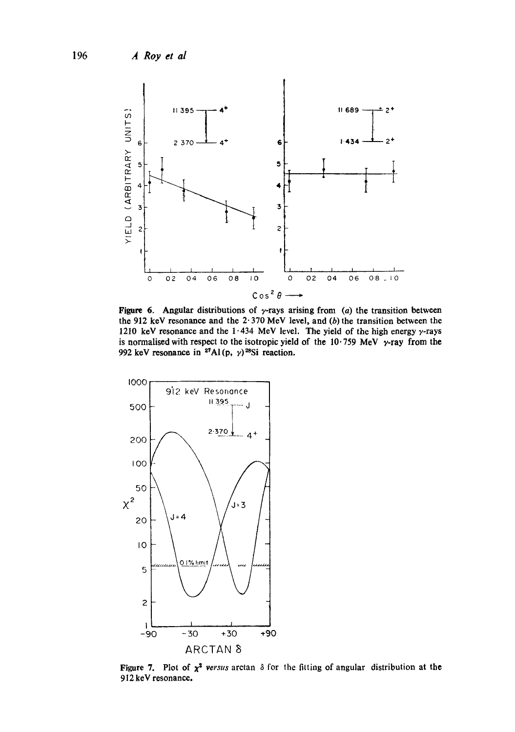

Figure 6. Angular distributions of  $\gamma$ -rays arising from (a) the transition between the 912 keV resonance and the  $2.370$  MeV level, and (b) the transition between the 1210 keV resonance and the 1.434 MeV level. The yield of the high energy  $\gamma$ -rays is normalised with respect to the isotropic yield of the  $10.759$  MeV  $\gamma$ -ray from the 992 keV resonance in <sup>27</sup>Al(p,  $\gamma$ )<sup>28</sup>Si reaction.



Figure 7. Plot of  $x^2$  versus arctan  $\delta$  for the fitting of angular distribution at the 912 keV resonance.